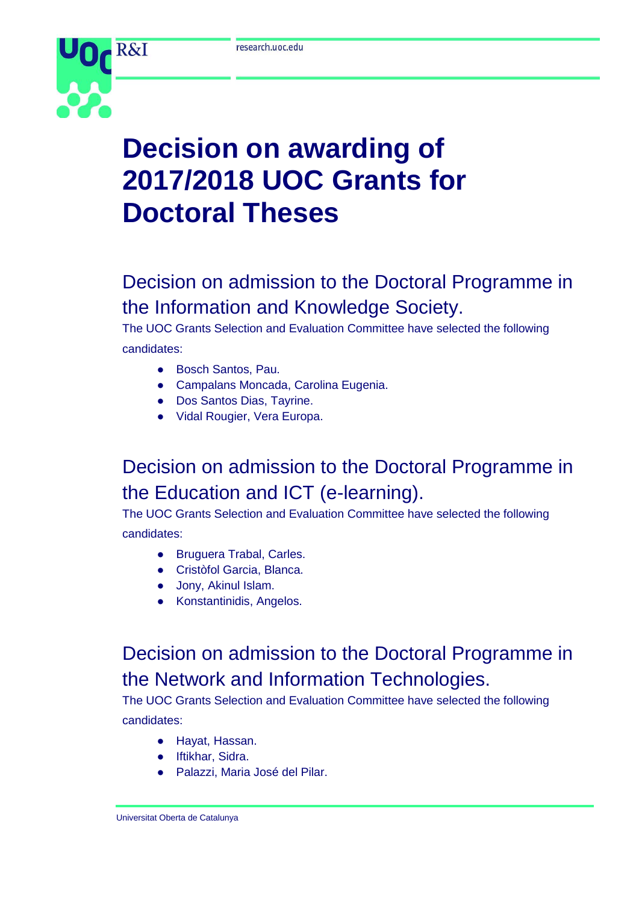

# **Decision on awarding of 2017/2018 UOC Grants for Doctoral Theses**

## Decision on admission to the Doctoral Programme in the Information and Knowledge Society.

The UOC Grants Selection and Evaluation Committee have selected the following candidates:

- Bosch Santos, Pau.
- Campalans Moncada, Carolina Eugenia.
- Dos Santos Dias, Tayrine.
- Vidal Rougier, Vera Europa.

#### Decision on admission to the Doctoral Programme in the Education and ICT (e-learning).

The UOC Grants Selection and Evaluation Committee have selected the following candidates:

- Bruguera Trabal, Carles.
- Cristòfol Garcia, Blanca.
- Jony, Akinul Islam.
- Konstantinidis, Angelos.

### Decision on admission to the Doctoral Programme in the Network and Information Technologies.

The UOC Grants Selection and Evaluation Committee have selected the following candidates:

- Hayat, Hassan.
- Iftikhar, Sidra.
- Palazzi, Maria José del Pilar.